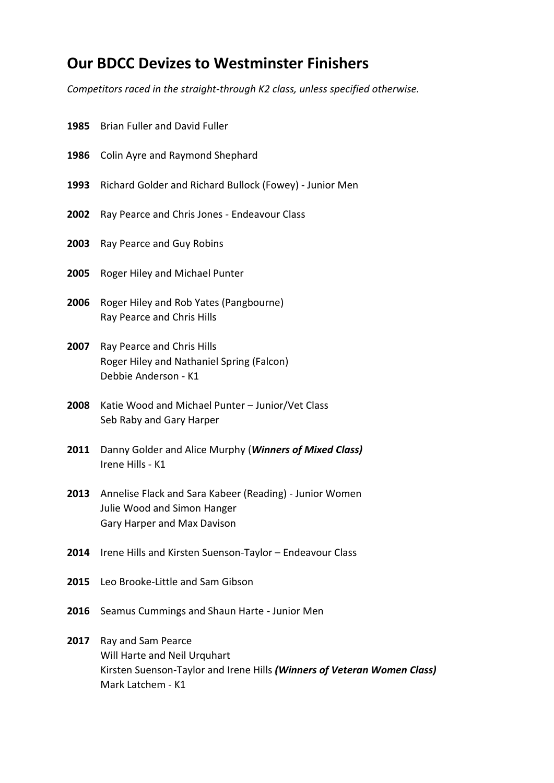## **Our BDCC Devizes to Westminster Finishers**

*Competitors raced in the straight-through K2 class, unless specified otherwise.*

|      | 1985 Brian Fuller and David Fuller                                                                                                                 |
|------|----------------------------------------------------------------------------------------------------------------------------------------------------|
| 1986 | Colin Ayre and Raymond Shephard                                                                                                                    |
| 1993 | Richard Golder and Richard Bullock (Fowey) - Junior Men                                                                                            |
| 2002 | Ray Pearce and Chris Jones - Endeavour Class                                                                                                       |
| 2003 | Ray Pearce and Guy Robins                                                                                                                          |
| 2005 | Roger Hiley and Michael Punter                                                                                                                     |
| 2006 | Roger Hiley and Rob Yates (Pangbourne)<br>Ray Pearce and Chris Hills                                                                               |
| 2007 | Ray Pearce and Chris Hills<br>Roger Hiley and Nathaniel Spring (Falcon)<br>Debbie Anderson - K1                                                    |
| 2008 | Katie Wood and Michael Punter - Junior/Vet Class<br>Seb Raby and Gary Harper                                                                       |
| 2011 | Danny Golder and Alice Murphy (Winners of Mixed Class)<br>Irene Hills - K1                                                                         |
| 2013 | Annelise Flack and Sara Kabeer (Reading) - Junior Women<br>Julie Wood and Simon Hanger<br>Gary Harper and Max Davison                              |
| 2014 | Irene Hills and Kirsten Suenson-Taylor - Endeavour Class                                                                                           |
| 2015 | Leo Brooke-Little and Sam Gibson                                                                                                                   |
| 2016 | Seamus Cummings and Shaun Harte - Junior Men                                                                                                       |
| 2017 | Ray and Sam Pearce<br>Will Harte and Neil Urquhart<br>Kirsten Suenson-Taylor and Irene Hills (Winners of Veteran Women Class)<br>Mark Latchem - K1 |